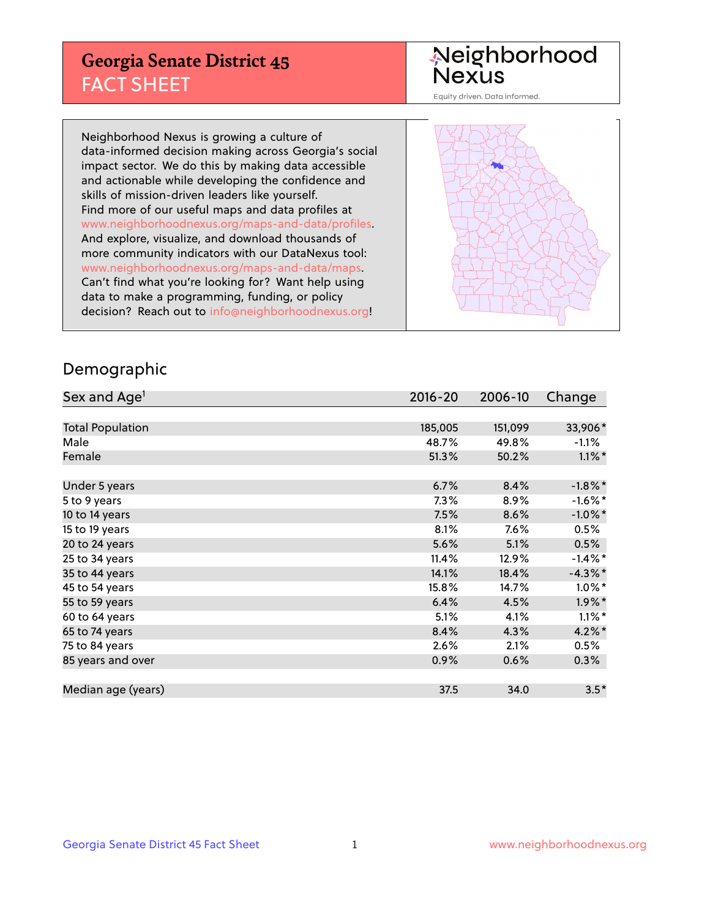## **Georgia Senate District 45** FACT SHEET

# Neighborhood<br>Nexus

Equity driven. Data informed.

Neighborhood Nexus is growing a culture of data-informed decision making across Georgia's social impact sector. We do this by making data accessible and actionable while developing the confidence and skills of mission-driven leaders like yourself. Find more of our useful maps and data profiles at www.neighborhoodnexus.org/maps-and-data/profiles. And explore, visualize, and download thousands of more community indicators with our DataNexus tool: www.neighborhoodnexus.org/maps-and-data/maps. Can't find what you're looking for? Want help using data to make a programming, funding, or policy decision? Reach out to [info@neighborhoodnexus.org!](mailto:info@neighborhoodnexus.org)



#### Demographic

| Sex and Age <sup>1</sup> | $2016 - 20$ | 2006-10 | Change     |
|--------------------------|-------------|---------|------------|
|                          |             |         |            |
| <b>Total Population</b>  | 185,005     | 151,099 | 33,906*    |
| Male                     | 48.7%       | 49.8%   | $-1.1\%$   |
| Female                   | 51.3%       | 50.2%   | $1.1\%$ *  |
|                          |             |         |            |
| Under 5 years            | 6.7%        | 8.4%    | $-1.8\%$ * |
| 5 to 9 years             | $7.3\%$     | 8.9%    | $-1.6\%$ * |
| 10 to 14 years           | 7.5%        | 8.6%    | $-1.0\%$ * |
| 15 to 19 years           | 8.1%        | 7.6%    | 0.5%       |
| 20 to 24 years           | 5.6%        | 5.1%    | 0.5%       |
| 25 to 34 years           | 11.4%       | 12.9%   | $-1.4\%$ * |
| 35 to 44 years           | 14.1%       | 18.4%   | $-4.3\%$ * |
| 45 to 54 years           | 15.8%       | 14.7%   | $1.0\%$ *  |
| 55 to 59 years           | 6.4%        | 4.5%    | $1.9\%$ *  |
| 60 to 64 years           | 5.1%        | 4.1%    | $1.1\%$ *  |
| 65 to 74 years           | 8.4%        | 4.3%    | 4.2%*      |
| 75 to 84 years           | 2.6%        | 2.1%    | 0.5%       |
| 85 years and over        | 0.9%        | 0.6%    | 0.3%       |
|                          |             |         |            |
| Median age (years)       | 37.5        | 34.0    | $3.5*$     |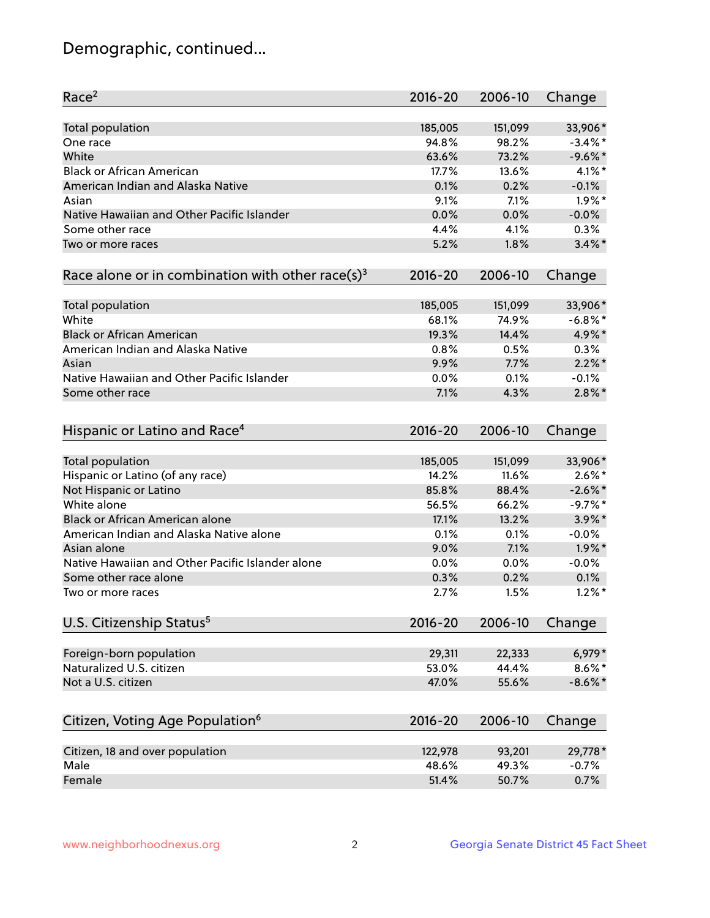## Demographic, continued...

| Race <sup>2</sup>                                            | $2016 - 20$ | 2006-10 | Change     |
|--------------------------------------------------------------|-------------|---------|------------|
| <b>Total population</b>                                      | 185,005     | 151,099 | 33,906*    |
| One race                                                     | 94.8%       | 98.2%   | $-3.4\%$ * |
| White                                                        | 63.6%       | 73.2%   | $-9.6%$ *  |
| <b>Black or African American</b>                             | 17.7%       | 13.6%   | $4.1\%$ *  |
| American Indian and Alaska Native                            | 0.1%        | 0.2%    | $-0.1%$    |
| Asian                                                        | 9.1%        | 7.1%    | $1.9\%$ *  |
| Native Hawaiian and Other Pacific Islander                   | 0.0%        | 0.0%    | $-0.0%$    |
| Some other race                                              | 4.4%        | 4.1%    | 0.3%       |
| Two or more races                                            | 5.2%        | 1.8%    | $3.4\%$ *  |
| Race alone or in combination with other race(s) <sup>3</sup> | $2016 - 20$ | 2006-10 | Change     |
| Total population                                             | 185,005     | 151,099 | 33,906*    |
| White                                                        | 68.1%       | 74.9%   | $-6.8\%$ * |
| <b>Black or African American</b>                             | 19.3%       | 14.4%   | 4.9%*      |
| American Indian and Alaska Native                            | 0.8%        | 0.5%    | 0.3%       |
| Asian                                                        | 9.9%        | 7.7%    | $2.2\%$ *  |
| Native Hawaiian and Other Pacific Islander                   | 0.0%        | 0.1%    | $-0.1%$    |
| Some other race                                              | 7.1%        | 4.3%    | $2.8\%$ *  |
|                                                              |             |         |            |
| Hispanic or Latino and Race <sup>4</sup>                     | $2016 - 20$ | 2006-10 | Change     |
| <b>Total population</b>                                      | 185,005     | 151,099 | 33,906*    |
| Hispanic or Latino (of any race)                             | 14.2%       | 11.6%   | $2.6\%$ *  |
| Not Hispanic or Latino                                       | 85.8%       | 88.4%   | $-2.6\%$ * |
| White alone                                                  | 56.5%       | 66.2%   | $-9.7%$ *  |
| <b>Black or African American alone</b>                       | 17.1%       | 13.2%   | $3.9\%$ *  |
| American Indian and Alaska Native alone                      | 0.1%        | 0.1%    | $-0.0%$    |
| Asian alone                                                  | 9.0%        | 7.1%    | $1.9\%$ *  |
| Native Hawaiian and Other Pacific Islander alone             | 0.0%        | 0.0%    | $-0.0%$    |
| Some other race alone                                        | 0.3%        | 0.2%    | 0.1%       |
| Two or more races                                            | 2.7%        | 1.5%    | $1.2\%$ *  |
| U.S. Citizenship Status <sup>5</sup>                         | $2016 - 20$ | 2006-10 | Change     |
|                                                              |             |         |            |
| Foreign-born population                                      | 29,311      | 22,333  | 6,979*     |
| Naturalized U.S. citizen                                     | 53.0%       | 44.4%   | $8.6\%$ *  |
| Not a U.S. citizen                                           | 47.0%       | 55.6%   | $-8.6\%$ * |
| Citizen, Voting Age Population <sup>6</sup>                  | $2016 - 20$ | 2006-10 | Change     |
| Citizen, 18 and over population                              | 122,978     | 93,201  | 29,778*    |
| Male                                                         | 48.6%       | 49.3%   | $-0.7%$    |
| Female                                                       | 51.4%       | 50.7%   | 0.7%       |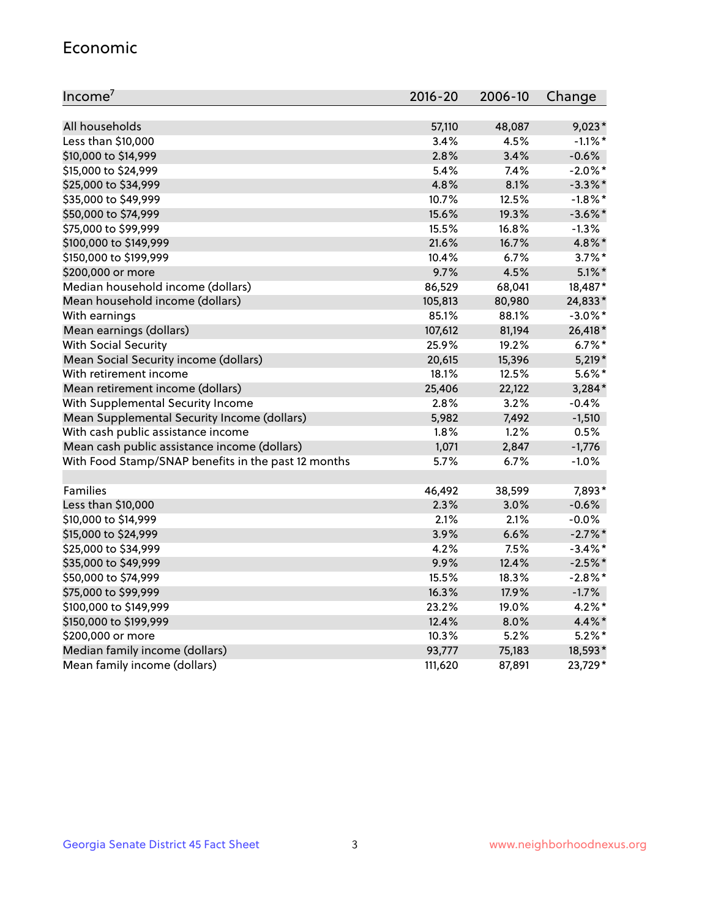#### Economic

| Income <sup>7</sup>                                 | $2016 - 20$ | 2006-10 | Change     |
|-----------------------------------------------------|-------------|---------|------------|
|                                                     |             |         |            |
| All households                                      | 57,110      | 48,087  | $9,023*$   |
| Less than \$10,000                                  | 3.4%        | 4.5%    | $-1.1\%$ * |
| \$10,000 to \$14,999                                | 2.8%        | 3.4%    | $-0.6%$    |
| \$15,000 to \$24,999                                | 5.4%        | 7.4%    | $-2.0\%$ * |
| \$25,000 to \$34,999                                | 4.8%        | 8.1%    | $-3.3\%$ * |
| \$35,000 to \$49,999                                | 10.7%       | 12.5%   | $-1.8\%$ * |
| \$50,000 to \$74,999                                | 15.6%       | 19.3%   | $-3.6\%$ * |
| \$75,000 to \$99,999                                | 15.5%       | 16.8%   | $-1.3%$    |
| \$100,000 to \$149,999                              | 21.6%       | 16.7%   | 4.8%*      |
| \$150,000 to \$199,999                              | 10.4%       | 6.7%    | $3.7\%$ *  |
| \$200,000 or more                                   | 9.7%        | 4.5%    | $5.1\%$ *  |
| Median household income (dollars)                   | 86,529      | 68,041  | 18,487*    |
| Mean household income (dollars)                     | 105,813     | 80,980  | 24,833*    |
| With earnings                                       | 85.1%       | 88.1%   | $-3.0\%$ * |
| Mean earnings (dollars)                             | 107,612     | 81,194  | 26,418*    |
| <b>With Social Security</b>                         | 25.9%       | 19.2%   | $6.7\%$ *  |
| Mean Social Security income (dollars)               | 20,615      | 15,396  | $5,219*$   |
| With retirement income                              | 18.1%       | 12.5%   | $5.6\%$ *  |
| Mean retirement income (dollars)                    | 25,406      | 22,122  | $3,284*$   |
| With Supplemental Security Income                   | 2.8%        | 3.2%    | $-0.4%$    |
| Mean Supplemental Security Income (dollars)         | 5,982       | 7,492   | $-1,510$   |
| With cash public assistance income                  | 1.8%        | 1.2%    | 0.5%       |
| Mean cash public assistance income (dollars)        | 1,071       | 2,847   | $-1,776$   |
| With Food Stamp/SNAP benefits in the past 12 months | 5.7%        | 6.7%    | $-1.0%$    |
|                                                     |             |         |            |
| Families                                            | 46,492      | 38,599  | 7,893*     |
| Less than \$10,000                                  | 2.3%        | 3.0%    | $-0.6%$    |
| \$10,000 to \$14,999                                | 2.1%        | 2.1%    | $-0.0%$    |
| \$15,000 to \$24,999                                | 3.9%        | 6.6%    | $-2.7\%$ * |
| \$25,000 to \$34,999                                | 4.2%        | 7.5%    | $-3.4\%$ * |
| \$35,000 to \$49,999                                | 9.9%        | 12.4%   | $-2.5%$ *  |
| \$50,000 to \$74,999                                | 15.5%       | 18.3%   | $-2.8\%$ * |
| \$75,000 to \$99,999                                | 16.3%       | 17.9%   | $-1.7%$    |
| \$100,000 to \$149,999                              | 23.2%       | 19.0%   | $4.2\%$ *  |
| \$150,000 to \$199,999                              | 12.4%       | 8.0%    | 4.4%*      |
| \$200,000 or more                                   | 10.3%       | 5.2%    | $5.2\%$ *  |
| Median family income (dollars)                      | 93,777      | 75,183  | 18,593*    |
| Mean family income (dollars)                        | 111,620     | 87,891  | 23,729*    |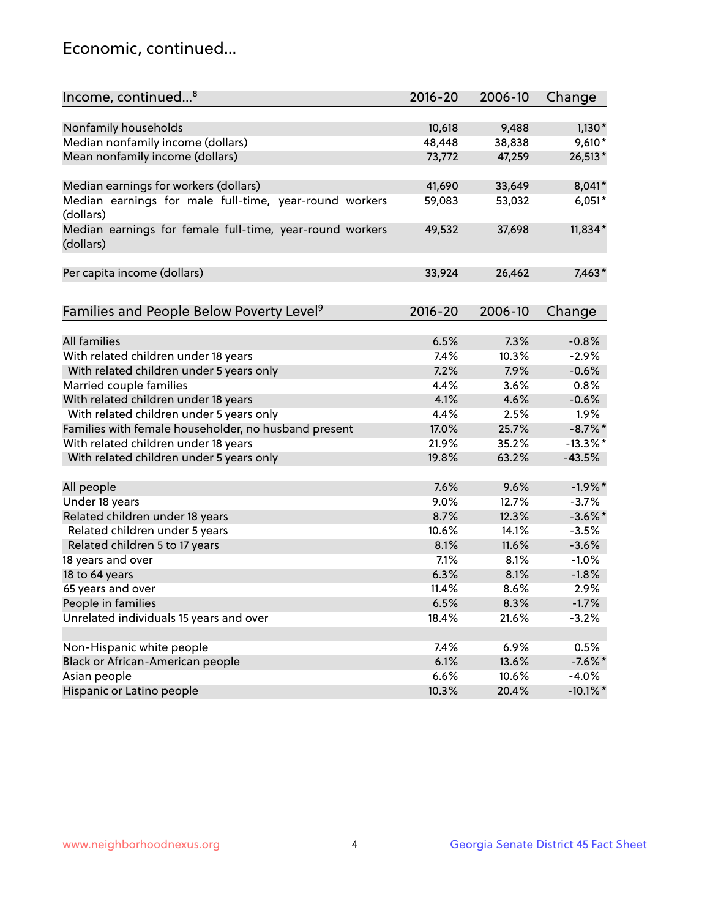## Economic, continued...

| Income, continued <sup>8</sup>                                        | $2016 - 20$ | 2006-10 | Change      |
|-----------------------------------------------------------------------|-------------|---------|-------------|
|                                                                       |             |         |             |
| Nonfamily households                                                  | 10,618      | 9,488   | $1,130*$    |
| Median nonfamily income (dollars)                                     | 48,448      | 38,838  | $9,610*$    |
| Mean nonfamily income (dollars)                                       | 73,772      | 47,259  | 26,513*     |
| Median earnings for workers (dollars)                                 | 41,690      | 33,649  | 8,041*      |
| Median earnings for male full-time, year-round workers<br>(dollars)   | 59,083      | 53,032  | $6,051*$    |
| Median earnings for female full-time, year-round workers<br>(dollars) | 49,532      | 37,698  | 11,834*     |
| Per capita income (dollars)                                           | 33,924      | 26,462  | $7,463*$    |
| Families and People Below Poverty Level <sup>9</sup>                  | $2016 - 20$ | 2006-10 | Change      |
|                                                                       |             |         |             |
| <b>All families</b>                                                   | 6.5%        | 7.3%    | $-0.8%$     |
| With related children under 18 years                                  | 7.4%        | 10.3%   | $-2.9%$     |
| With related children under 5 years only                              | 7.2%        | 7.9%    | $-0.6%$     |
| Married couple families                                               | 4.4%        | 3.6%    | 0.8%        |
| With related children under 18 years                                  | 4.1%        | 4.6%    | $-0.6%$     |
| With related children under 5 years only                              | 4.4%        | 2.5%    | 1.9%        |
| Families with female householder, no husband present                  | 17.0%       | 25.7%   | $-8.7\%$ *  |
| With related children under 18 years                                  | 21.9%       | 35.2%   | $-13.3\%$ * |
| With related children under 5 years only                              | 19.8%       | 63.2%   | $-43.5%$    |
| All people                                                            | 7.6%        | 9.6%    | $-1.9%$ *   |
| Under 18 years                                                        | 9.0%        | 12.7%   | $-3.7%$     |
| Related children under 18 years                                       | 8.7%        | 12.3%   | $-3.6\%$ *  |
| Related children under 5 years                                        | 10.6%       | 14.1%   | $-3.5%$     |
| Related children 5 to 17 years                                        | 8.1%        | 11.6%   | $-3.6%$     |
| 18 years and over                                                     | 7.1%        | 8.1%    | $-1.0%$     |
| 18 to 64 years                                                        | 6.3%        | 8.1%    | $-1.8%$     |
| 65 years and over                                                     | 11.4%       | 8.6%    | 2.9%        |
| People in families                                                    | 6.5%        | 8.3%    | $-1.7%$     |
| Unrelated individuals 15 years and over                               | 18.4%       | 21.6%   | $-3.2%$     |
|                                                                       |             |         |             |
| Non-Hispanic white people                                             | 7.4%        | 6.9%    | 0.5%        |
| Black or African-American people                                      | 6.1%        | 13.6%   | $-7.6\%$ *  |
| Asian people                                                          | 6.6%        | 10.6%   | $-4.0%$     |
| Hispanic or Latino people                                             | 10.3%       | 20.4%   | $-10.1\%$ * |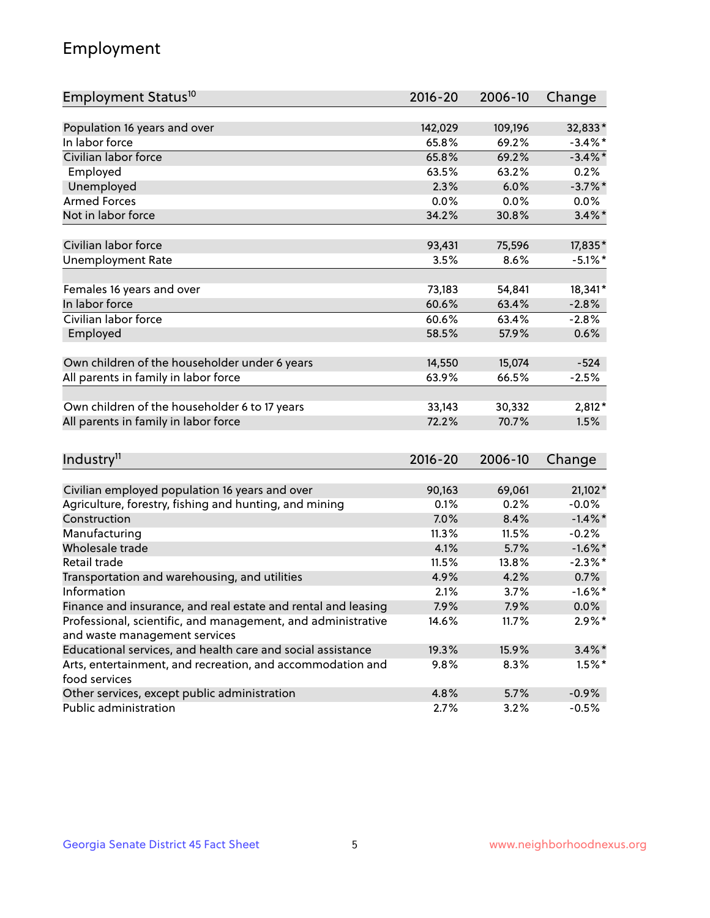## Employment

| Employment Status <sup>10</sup>                               | $2016 - 20$ | 2006-10 | Change     |
|---------------------------------------------------------------|-------------|---------|------------|
|                                                               |             |         |            |
| Population 16 years and over                                  | 142,029     | 109,196 | 32,833*    |
| In labor force                                                | 65.8%       | 69.2%   | $-3.4\%$ * |
| Civilian labor force                                          | 65.8%       | 69.2%   | $-3.4\%$ * |
| Employed                                                      | 63.5%       | 63.2%   | 0.2%       |
| Unemployed                                                    | 2.3%        | 6.0%    | $-3.7\%$ * |
| <b>Armed Forces</b>                                           | 0.0%        | 0.0%    | 0.0%       |
| Not in labor force                                            | 34.2%       | 30.8%   | $3.4\%$ *  |
| Civilian labor force                                          | 93,431      | 75,596  | 17,835*    |
| <b>Unemployment Rate</b>                                      | 3.5%        | 8.6%    | $-5.1\%$ * |
|                                                               |             |         |            |
| Females 16 years and over                                     | 73,183      | 54,841  | 18,341*    |
| In labor force                                                | 60.6%       | 63.4%   | $-2.8%$    |
| Civilian labor force                                          | 60.6%       | 63.4%   | $-2.8%$    |
| Employed                                                      | 58.5%       | 57.9%   | 0.6%       |
| Own children of the householder under 6 years                 | 14,550      | 15,074  | $-524$     |
| All parents in family in labor force                          | 63.9%       | 66.5%   | $-2.5%$    |
|                                                               |             |         |            |
| Own children of the householder 6 to 17 years                 | 33,143      | 30,332  | 2,812*     |
| All parents in family in labor force                          | 72.2%       | 70.7%   | 1.5%       |
|                                                               |             |         |            |
| Industry <sup>11</sup>                                        | $2016 - 20$ | 2006-10 | Change     |
| Civilian employed population 16 years and over                | 90,163      | 69,061  | 21,102*    |
| Agriculture, forestry, fishing and hunting, and mining        | 0.1%        | 0.2%    | $-0.0%$    |
| Construction                                                  | 7.0%        | 8.4%    | $-1.4\%$ * |
| Manufacturing                                                 | 11.3%       | 11.5%   | $-0.2%$    |
| Wholesale trade                                               | 4.1%        | 5.7%    | $-1.6\%$ * |
| Retail trade                                                  | 11.5%       | 13.8%   | $-2.3\%$ * |
| Transportation and warehousing, and utilities                 | 4.9%        | 4.2%    | 0.7%       |
| Information                                                   | 2.1%        | 3.7%    | $-1.6\%$ * |
| Finance and insurance, and real estate and rental and leasing | 7.9%        | 7.9%    | $0.0\%$    |
| Professional, scientific, and management, and administrative  | 14.6%       | 11.7%   | $2.9\%*$   |
| and waste management services                                 |             |         |            |
| Educational services, and health care and social assistance   | 19.3%       | 15.9%   | $3.4\%$ *  |
| Arts, entertainment, and recreation, and accommodation and    | 9.8%        | 8.3%    | $1.5\%$ *  |
| food services                                                 |             |         |            |
| Other services, except public administration                  | 4.8%        | 5.7%    | $-0.9%$    |
| Public administration                                         | 2.7%        | 3.2%    | $-0.5%$    |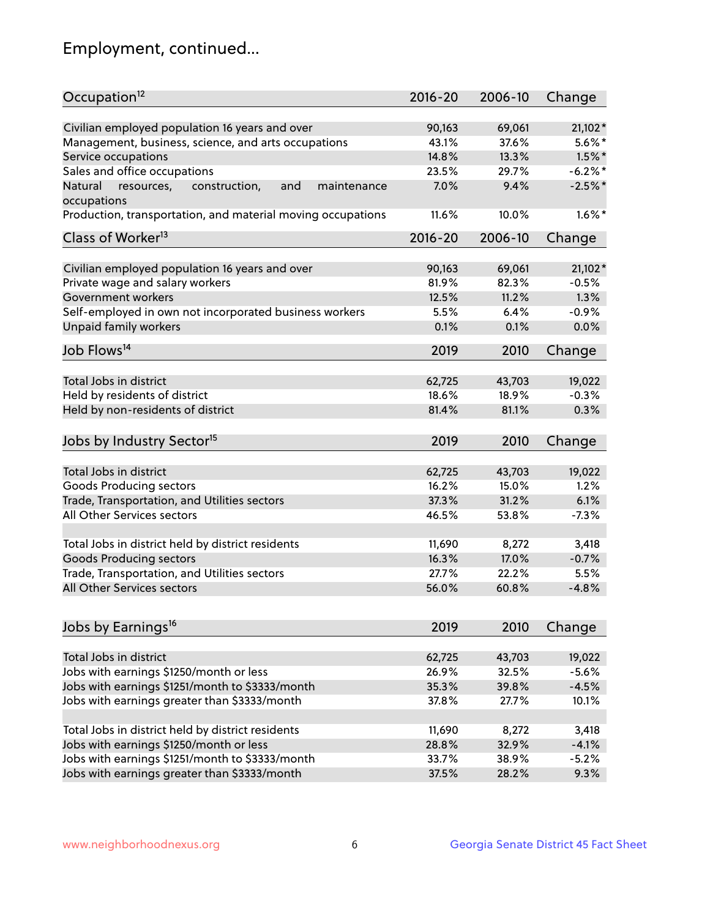## Employment, continued...

| Civilian employed population 16 years and over<br>90,163<br>69,061<br>$21,102*$<br>Management, business, science, and arts occupations<br>37.6%<br>$5.6\%$ *<br>43.1%<br>$1.5\%$ *<br>Service occupations<br>14.8%<br>13.3%<br>Sales and office occupations<br>$-6.2%$<br>23.5%<br>29.7%<br>$-2.5%$ *<br>Natural<br>and<br>7.0%<br>9.4%<br>resources,<br>construction,<br>maintenance<br>10.0%<br>$1.6\%$ *<br>11.6%<br>$2016 - 20$<br>2006-10<br>Change<br>Civilian employed population 16 years and over<br>90,163<br>69,061<br>$21,102*$<br>Private wage and salary workers<br>81.9%<br>82.3%<br>$-0.5%$<br>1.3%<br>Government workers<br>12.5%<br>11.2%<br>Self-employed in own not incorporated business workers<br>5.5%<br>$-0.9%$<br>6.4%<br>Unpaid family workers<br>0.0%<br>0.1%<br>0.1%<br>2019<br>2010<br>Change<br>Total Jobs in district<br>62,725<br>43,703<br>19,022<br>Held by residents of district<br>$-0.3%$<br>18.6%<br>18.9%<br>Held by non-residents of district<br>0.3%<br>81.4%<br>81.1%<br>2019<br>2010<br>Change<br>Total Jobs in district<br>62,725<br>43,703<br>19,022<br>Goods Producing sectors<br>16.2%<br>15.0%<br>1.2%<br>6.1%<br>Trade, Transportation, and Utilities sectors<br>37.3%<br>31.2%<br>All Other Services sectors<br>46.5%<br>$-7.3%$<br>53.8%<br>Total Jobs in district held by district residents<br>11,690<br>8,272<br>3,418<br><b>Goods Producing sectors</b><br>$-0.7%$<br>16.3%<br>17.0%<br>Trade, Transportation, and Utilities sectors<br>27.7%<br>22.2%<br>5.5%<br>56.0%<br>60.8%<br>$-4.8%$<br>2019<br>2010<br>Change<br>Total Jobs in district<br>19,022<br>62,725<br>43,703<br>Jobs with earnings \$1250/month or less<br>26.9%<br>32.5%<br>$-5.6%$<br>Jobs with earnings \$1251/month to \$3333/month<br>$-4.5%$<br>35.3%<br>39.8%<br>Jobs with earnings greater than \$3333/month<br>10.1%<br>37.8%<br>27.7%<br>Total Jobs in district held by district residents<br>11,690<br>8,272<br>3,418<br>Jobs with earnings \$1250/month or less<br>32.9%<br>$-4.1%$<br>28.8% | Occupation <sup>12</sup>                                    | $2016 - 20$ | 2006-10 | Change |
|-----------------------------------------------------------------------------------------------------------------------------------------------------------------------------------------------------------------------------------------------------------------------------------------------------------------------------------------------------------------------------------------------------------------------------------------------------------------------------------------------------------------------------------------------------------------------------------------------------------------------------------------------------------------------------------------------------------------------------------------------------------------------------------------------------------------------------------------------------------------------------------------------------------------------------------------------------------------------------------------------------------------------------------------------------------------------------------------------------------------------------------------------------------------------------------------------------------------------------------------------------------------------------------------------------------------------------------------------------------------------------------------------------------------------------------------------------------------------------------------------------------------------------------------------------------------------------------------------------------------------------------------------------------------------------------------------------------------------------------------------------------------------------------------------------------------------------------------------------------------------------------------------------------------------------------------------------------------------------------------------------------------------------------|-------------------------------------------------------------|-------------|---------|--------|
|                                                                                                                                                                                                                                                                                                                                                                                                                                                                                                                                                                                                                                                                                                                                                                                                                                                                                                                                                                                                                                                                                                                                                                                                                                                                                                                                                                                                                                                                                                                                                                                                                                                                                                                                                                                                                                                                                                                                                                                                                                   |                                                             |             |         |        |
|                                                                                                                                                                                                                                                                                                                                                                                                                                                                                                                                                                                                                                                                                                                                                                                                                                                                                                                                                                                                                                                                                                                                                                                                                                                                                                                                                                                                                                                                                                                                                                                                                                                                                                                                                                                                                                                                                                                                                                                                                                   |                                                             |             |         |        |
|                                                                                                                                                                                                                                                                                                                                                                                                                                                                                                                                                                                                                                                                                                                                                                                                                                                                                                                                                                                                                                                                                                                                                                                                                                                                                                                                                                                                                                                                                                                                                                                                                                                                                                                                                                                                                                                                                                                                                                                                                                   |                                                             |             |         |        |
|                                                                                                                                                                                                                                                                                                                                                                                                                                                                                                                                                                                                                                                                                                                                                                                                                                                                                                                                                                                                                                                                                                                                                                                                                                                                                                                                                                                                                                                                                                                                                                                                                                                                                                                                                                                                                                                                                                                                                                                                                                   |                                                             |             |         |        |
|                                                                                                                                                                                                                                                                                                                                                                                                                                                                                                                                                                                                                                                                                                                                                                                                                                                                                                                                                                                                                                                                                                                                                                                                                                                                                                                                                                                                                                                                                                                                                                                                                                                                                                                                                                                                                                                                                                                                                                                                                                   |                                                             |             |         |        |
|                                                                                                                                                                                                                                                                                                                                                                                                                                                                                                                                                                                                                                                                                                                                                                                                                                                                                                                                                                                                                                                                                                                                                                                                                                                                                                                                                                                                                                                                                                                                                                                                                                                                                                                                                                                                                                                                                                                                                                                                                                   | occupations                                                 |             |         |        |
|                                                                                                                                                                                                                                                                                                                                                                                                                                                                                                                                                                                                                                                                                                                                                                                                                                                                                                                                                                                                                                                                                                                                                                                                                                                                                                                                                                                                                                                                                                                                                                                                                                                                                                                                                                                                                                                                                                                                                                                                                                   | Production, transportation, and material moving occupations |             |         |        |
|                                                                                                                                                                                                                                                                                                                                                                                                                                                                                                                                                                                                                                                                                                                                                                                                                                                                                                                                                                                                                                                                                                                                                                                                                                                                                                                                                                                                                                                                                                                                                                                                                                                                                                                                                                                                                                                                                                                                                                                                                                   | Class of Worker <sup>13</sup>                               |             |         |        |
|                                                                                                                                                                                                                                                                                                                                                                                                                                                                                                                                                                                                                                                                                                                                                                                                                                                                                                                                                                                                                                                                                                                                                                                                                                                                                                                                                                                                                                                                                                                                                                                                                                                                                                                                                                                                                                                                                                                                                                                                                                   |                                                             |             |         |        |
|                                                                                                                                                                                                                                                                                                                                                                                                                                                                                                                                                                                                                                                                                                                                                                                                                                                                                                                                                                                                                                                                                                                                                                                                                                                                                                                                                                                                                                                                                                                                                                                                                                                                                                                                                                                                                                                                                                                                                                                                                                   |                                                             |             |         |        |
|                                                                                                                                                                                                                                                                                                                                                                                                                                                                                                                                                                                                                                                                                                                                                                                                                                                                                                                                                                                                                                                                                                                                                                                                                                                                                                                                                                                                                                                                                                                                                                                                                                                                                                                                                                                                                                                                                                                                                                                                                                   |                                                             |             |         |        |
|                                                                                                                                                                                                                                                                                                                                                                                                                                                                                                                                                                                                                                                                                                                                                                                                                                                                                                                                                                                                                                                                                                                                                                                                                                                                                                                                                                                                                                                                                                                                                                                                                                                                                                                                                                                                                                                                                                                                                                                                                                   |                                                             |             |         |        |
|                                                                                                                                                                                                                                                                                                                                                                                                                                                                                                                                                                                                                                                                                                                                                                                                                                                                                                                                                                                                                                                                                                                                                                                                                                                                                                                                                                                                                                                                                                                                                                                                                                                                                                                                                                                                                                                                                                                                                                                                                                   |                                                             |             |         |        |
|                                                                                                                                                                                                                                                                                                                                                                                                                                                                                                                                                                                                                                                                                                                                                                                                                                                                                                                                                                                                                                                                                                                                                                                                                                                                                                                                                                                                                                                                                                                                                                                                                                                                                                                                                                                                                                                                                                                                                                                                                                   |                                                             |             |         |        |
|                                                                                                                                                                                                                                                                                                                                                                                                                                                                                                                                                                                                                                                                                                                                                                                                                                                                                                                                                                                                                                                                                                                                                                                                                                                                                                                                                                                                                                                                                                                                                                                                                                                                                                                                                                                                                                                                                                                                                                                                                                   | Job Flows <sup>14</sup>                                     |             |         |        |
|                                                                                                                                                                                                                                                                                                                                                                                                                                                                                                                                                                                                                                                                                                                                                                                                                                                                                                                                                                                                                                                                                                                                                                                                                                                                                                                                                                                                                                                                                                                                                                                                                                                                                                                                                                                                                                                                                                                                                                                                                                   |                                                             |             |         |        |
|                                                                                                                                                                                                                                                                                                                                                                                                                                                                                                                                                                                                                                                                                                                                                                                                                                                                                                                                                                                                                                                                                                                                                                                                                                                                                                                                                                                                                                                                                                                                                                                                                                                                                                                                                                                                                                                                                                                                                                                                                                   |                                                             |             |         |        |
|                                                                                                                                                                                                                                                                                                                                                                                                                                                                                                                                                                                                                                                                                                                                                                                                                                                                                                                                                                                                                                                                                                                                                                                                                                                                                                                                                                                                                                                                                                                                                                                                                                                                                                                                                                                                                                                                                                                                                                                                                                   |                                                             |             |         |        |
|                                                                                                                                                                                                                                                                                                                                                                                                                                                                                                                                                                                                                                                                                                                                                                                                                                                                                                                                                                                                                                                                                                                                                                                                                                                                                                                                                                                                                                                                                                                                                                                                                                                                                                                                                                                                                                                                                                                                                                                                                                   |                                                             |             |         |        |
|                                                                                                                                                                                                                                                                                                                                                                                                                                                                                                                                                                                                                                                                                                                                                                                                                                                                                                                                                                                                                                                                                                                                                                                                                                                                                                                                                                                                                                                                                                                                                                                                                                                                                                                                                                                                                                                                                                                                                                                                                                   | Jobs by Industry Sector <sup>15</sup>                       |             |         |        |
|                                                                                                                                                                                                                                                                                                                                                                                                                                                                                                                                                                                                                                                                                                                                                                                                                                                                                                                                                                                                                                                                                                                                                                                                                                                                                                                                                                                                                                                                                                                                                                                                                                                                                                                                                                                                                                                                                                                                                                                                                                   |                                                             |             |         |        |
|                                                                                                                                                                                                                                                                                                                                                                                                                                                                                                                                                                                                                                                                                                                                                                                                                                                                                                                                                                                                                                                                                                                                                                                                                                                                                                                                                                                                                                                                                                                                                                                                                                                                                                                                                                                                                                                                                                                                                                                                                                   |                                                             |             |         |        |
|                                                                                                                                                                                                                                                                                                                                                                                                                                                                                                                                                                                                                                                                                                                                                                                                                                                                                                                                                                                                                                                                                                                                                                                                                                                                                                                                                                                                                                                                                                                                                                                                                                                                                                                                                                                                                                                                                                                                                                                                                                   |                                                             |             |         |        |
|                                                                                                                                                                                                                                                                                                                                                                                                                                                                                                                                                                                                                                                                                                                                                                                                                                                                                                                                                                                                                                                                                                                                                                                                                                                                                                                                                                                                                                                                                                                                                                                                                                                                                                                                                                                                                                                                                                                                                                                                                                   |                                                             |             |         |        |
|                                                                                                                                                                                                                                                                                                                                                                                                                                                                                                                                                                                                                                                                                                                                                                                                                                                                                                                                                                                                                                                                                                                                                                                                                                                                                                                                                                                                                                                                                                                                                                                                                                                                                                                                                                                                                                                                                                                                                                                                                                   |                                                             |             |         |        |
|                                                                                                                                                                                                                                                                                                                                                                                                                                                                                                                                                                                                                                                                                                                                                                                                                                                                                                                                                                                                                                                                                                                                                                                                                                                                                                                                                                                                                                                                                                                                                                                                                                                                                                                                                                                                                                                                                                                                                                                                                                   |                                                             |             |         |        |
|                                                                                                                                                                                                                                                                                                                                                                                                                                                                                                                                                                                                                                                                                                                                                                                                                                                                                                                                                                                                                                                                                                                                                                                                                                                                                                                                                                                                                                                                                                                                                                                                                                                                                                                                                                                                                                                                                                                                                                                                                                   |                                                             |             |         |        |
|                                                                                                                                                                                                                                                                                                                                                                                                                                                                                                                                                                                                                                                                                                                                                                                                                                                                                                                                                                                                                                                                                                                                                                                                                                                                                                                                                                                                                                                                                                                                                                                                                                                                                                                                                                                                                                                                                                                                                                                                                                   |                                                             |             |         |        |
|                                                                                                                                                                                                                                                                                                                                                                                                                                                                                                                                                                                                                                                                                                                                                                                                                                                                                                                                                                                                                                                                                                                                                                                                                                                                                                                                                                                                                                                                                                                                                                                                                                                                                                                                                                                                                                                                                                                                                                                                                                   | All Other Services sectors                                  |             |         |        |
|                                                                                                                                                                                                                                                                                                                                                                                                                                                                                                                                                                                                                                                                                                                                                                                                                                                                                                                                                                                                                                                                                                                                                                                                                                                                                                                                                                                                                                                                                                                                                                                                                                                                                                                                                                                                                                                                                                                                                                                                                                   |                                                             |             |         |        |
|                                                                                                                                                                                                                                                                                                                                                                                                                                                                                                                                                                                                                                                                                                                                                                                                                                                                                                                                                                                                                                                                                                                                                                                                                                                                                                                                                                                                                                                                                                                                                                                                                                                                                                                                                                                                                                                                                                                                                                                                                                   | Jobs by Earnings <sup>16</sup>                              |             |         |        |
|                                                                                                                                                                                                                                                                                                                                                                                                                                                                                                                                                                                                                                                                                                                                                                                                                                                                                                                                                                                                                                                                                                                                                                                                                                                                                                                                                                                                                                                                                                                                                                                                                                                                                                                                                                                                                                                                                                                                                                                                                                   |                                                             |             |         |        |
|                                                                                                                                                                                                                                                                                                                                                                                                                                                                                                                                                                                                                                                                                                                                                                                                                                                                                                                                                                                                                                                                                                                                                                                                                                                                                                                                                                                                                                                                                                                                                                                                                                                                                                                                                                                                                                                                                                                                                                                                                                   |                                                             |             |         |        |
|                                                                                                                                                                                                                                                                                                                                                                                                                                                                                                                                                                                                                                                                                                                                                                                                                                                                                                                                                                                                                                                                                                                                                                                                                                                                                                                                                                                                                                                                                                                                                                                                                                                                                                                                                                                                                                                                                                                                                                                                                                   |                                                             |             |         |        |
|                                                                                                                                                                                                                                                                                                                                                                                                                                                                                                                                                                                                                                                                                                                                                                                                                                                                                                                                                                                                                                                                                                                                                                                                                                                                                                                                                                                                                                                                                                                                                                                                                                                                                                                                                                                                                                                                                                                                                                                                                                   |                                                             |             |         |        |
|                                                                                                                                                                                                                                                                                                                                                                                                                                                                                                                                                                                                                                                                                                                                                                                                                                                                                                                                                                                                                                                                                                                                                                                                                                                                                                                                                                                                                                                                                                                                                                                                                                                                                                                                                                                                                                                                                                                                                                                                                                   |                                                             |             |         |        |
|                                                                                                                                                                                                                                                                                                                                                                                                                                                                                                                                                                                                                                                                                                                                                                                                                                                                                                                                                                                                                                                                                                                                                                                                                                                                                                                                                                                                                                                                                                                                                                                                                                                                                                                                                                                                                                                                                                                                                                                                                                   |                                                             |             |         |        |
|                                                                                                                                                                                                                                                                                                                                                                                                                                                                                                                                                                                                                                                                                                                                                                                                                                                                                                                                                                                                                                                                                                                                                                                                                                                                                                                                                                                                                                                                                                                                                                                                                                                                                                                                                                                                                                                                                                                                                                                                                                   |                                                             |             |         |        |
| 33.7%<br>38.9%<br>$-5.2%$                                                                                                                                                                                                                                                                                                                                                                                                                                                                                                                                                                                                                                                                                                                                                                                                                                                                                                                                                                                                                                                                                                                                                                                                                                                                                                                                                                                                                                                                                                                                                                                                                                                                                                                                                                                                                                                                                                                                                                                                         | Jobs with earnings \$1251/month to \$3333/month             |             |         |        |
| 37.5%<br>9.3%<br>28.2%                                                                                                                                                                                                                                                                                                                                                                                                                                                                                                                                                                                                                                                                                                                                                                                                                                                                                                                                                                                                                                                                                                                                                                                                                                                                                                                                                                                                                                                                                                                                                                                                                                                                                                                                                                                                                                                                                                                                                                                                            | Jobs with earnings greater than \$3333/month                |             |         |        |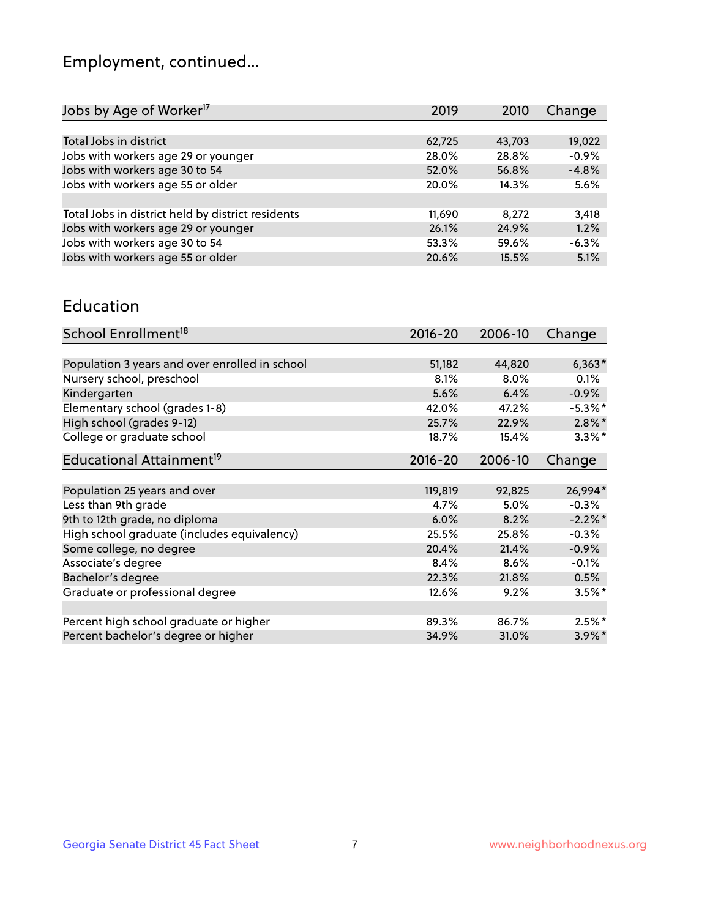## Employment, continued...

| 2019   | 2010   | Change  |
|--------|--------|---------|
|        |        |         |
| 62,725 | 43,703 | 19,022  |
| 28.0%  | 28.8%  | $-0.9%$ |
| 52.0%  | 56.8%  | $-4.8%$ |
| 20.0%  | 14.3%  | 5.6%    |
|        |        |         |
| 11,690 | 8.272  | 3,418   |
| 26.1%  | 24.9%  | 1.2%    |
| 53.3%  | 59.6%  | $-6.3%$ |
| 20.6%  | 15.5%  | 5.1%    |
|        |        |         |

#### Education

| School Enrollment <sup>18</sup>                | $2016 - 20$ | 2006-10 | Change     |
|------------------------------------------------|-------------|---------|------------|
|                                                |             |         |            |
| Population 3 years and over enrolled in school | 51,182      | 44,820  | $6,363*$   |
| Nursery school, preschool                      | 8.1%        | $8.0\%$ | $0.1\%$    |
| Kindergarten                                   | 5.6%        | 6.4%    | $-0.9%$    |
| Elementary school (grades 1-8)                 | 42.0%       | 47.2%   | $-5.3\%$ * |
| High school (grades 9-12)                      | 25.7%       | 22.9%   | $2.8\%$ *  |
| College or graduate school                     | 18.7%       | 15.4%   | $3.3\%$ *  |
| Educational Attainment <sup>19</sup>           | $2016 - 20$ | 2006-10 | Change     |
|                                                |             |         |            |
| Population 25 years and over                   | 119,819     | 92,825  | 26,994*    |
| Less than 9th grade                            | 4.7%        | 5.0%    | $-0.3%$    |
| 9th to 12th grade, no diploma                  | 6.0%        | 8.2%    | $-2.2\%$ * |
| High school graduate (includes equivalency)    | 25.5%       | 25.8%   | $-0.3%$    |
| Some college, no degree                        | 20.4%       | 21.4%   | $-0.9%$    |
| Associate's degree                             | 8.4%        | 8.6%    | $-0.1%$    |
| Bachelor's degree                              | 22.3%       | 21.8%   | 0.5%       |
| Graduate or professional degree                | 12.6%       | 9.2%    | $3.5\%$ *  |
|                                                |             |         |            |
| Percent high school graduate or higher         | 89.3%       | 86.7%   | $2.5\%$ *  |
| Percent bachelor's degree or higher            | 34.9%       | 31.0%   | $3.9\%$ *  |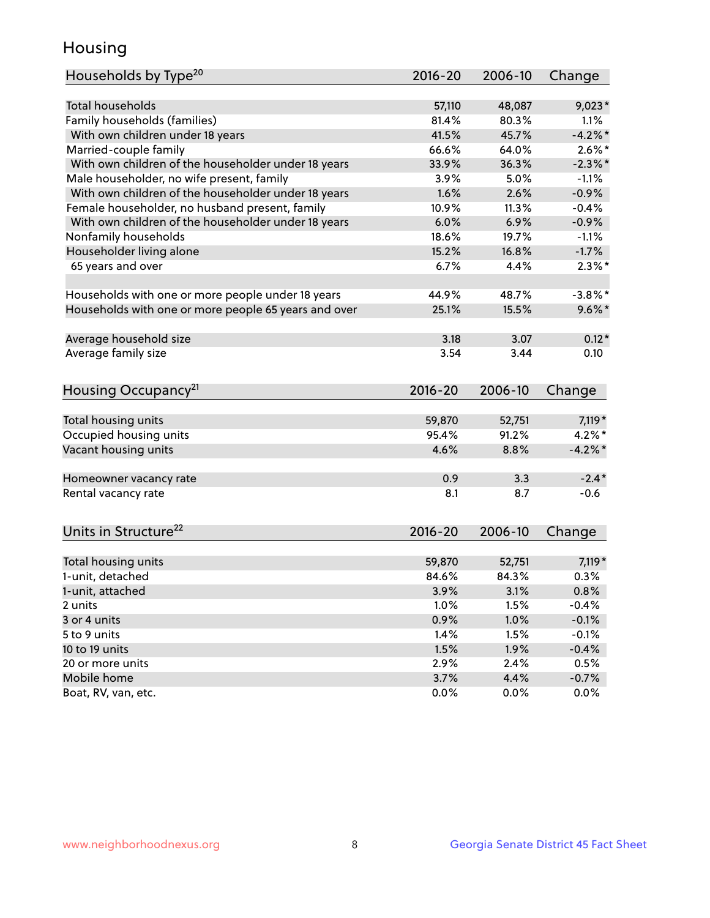## Housing

| Households by Type <sup>20</sup>                     | 2016-20 | 2006-10 | Change     |
|------------------------------------------------------|---------|---------|------------|
|                                                      |         |         |            |
| <b>Total households</b>                              | 57,110  | 48,087  | $9,023*$   |
| Family households (families)                         | 81.4%   | 80.3%   | 1.1%       |
| With own children under 18 years                     | 41.5%   | 45.7%   | $-4.2%$    |
| Married-couple family                                | 66.6%   | 64.0%   | $2.6\%$ *  |
| With own children of the householder under 18 years  | 33.9%   | 36.3%   | $-2.3\%$ * |
| Male householder, no wife present, family            | 3.9%    | 5.0%    | $-1.1%$    |
| With own children of the householder under 18 years  | 1.6%    | 2.6%    | $-0.9%$    |
| Female householder, no husband present, family       | 10.9%   | 11.3%   | $-0.4%$    |
| With own children of the householder under 18 years  | 6.0%    | 6.9%    | $-0.9%$    |
| Nonfamily households                                 | 18.6%   | 19.7%   | $-1.1%$    |
| Householder living alone                             | 15.2%   | 16.8%   | $-1.7%$    |
| 65 years and over                                    | 6.7%    | 4.4%    | $2.3\%$ *  |
| Households with one or more people under 18 years    | 44.9%   | 48.7%   | $-3.8\%$ * |
| Households with one or more people 65 years and over | 25.1%   | 15.5%   | $9.6\%$ *  |
|                                                      |         |         |            |
| Average household size                               | 3.18    | 3.07    | $0.12*$    |
| Average family size                                  | 3.54    | 3.44    | 0.10       |
| Housing Occupancy <sup>21</sup>                      | 2016-20 | 2006-10 | Change     |
|                                                      |         |         |            |
| Total housing units                                  | 59,870  | 52,751  | $7,119*$   |
| Occupied housing units                               | 95.4%   | 91.2%   | $4.2\%$ *  |
| Vacant housing units                                 | 4.6%    | 8.8%    | $-4.2\%$ * |
| Homeowner vacancy rate                               | 0.9     | 3.3     | $-2.4*$    |
| Rental vacancy rate                                  | 8.1     | 8.7     | $-0.6$     |
|                                                      |         |         |            |
| Units in Structure <sup>22</sup>                     | 2016-20 | 2006-10 | Change     |
| Total housing units                                  | 59,870  | 52,751  | $7,119*$   |
| 1-unit, detached                                     | 84.6%   | 84.3%   | 0.3%       |
| 1-unit, attached                                     | 3.9%    | 3.1%    | 0.8%       |
| 2 units                                              | 1.0%    | 1.5%    | $-0.4%$    |
| 3 or 4 units                                         | 0.9%    | 1.0%    | $-0.1%$    |
| 5 to 9 units                                         | 1.4%    | 1.5%    | $-0.1%$    |
| 10 to 19 units                                       | 1.5%    | 1.9%    | $-0.4%$    |
| 20 or more units                                     | 2.9%    | 2.4%    | 0.5%       |
| Mobile home                                          | 3.7%    | 4.4%    | $-0.7%$    |
|                                                      |         |         |            |
| Boat, RV, van, etc.                                  | 0.0%    | 0.0%    | 0.0%       |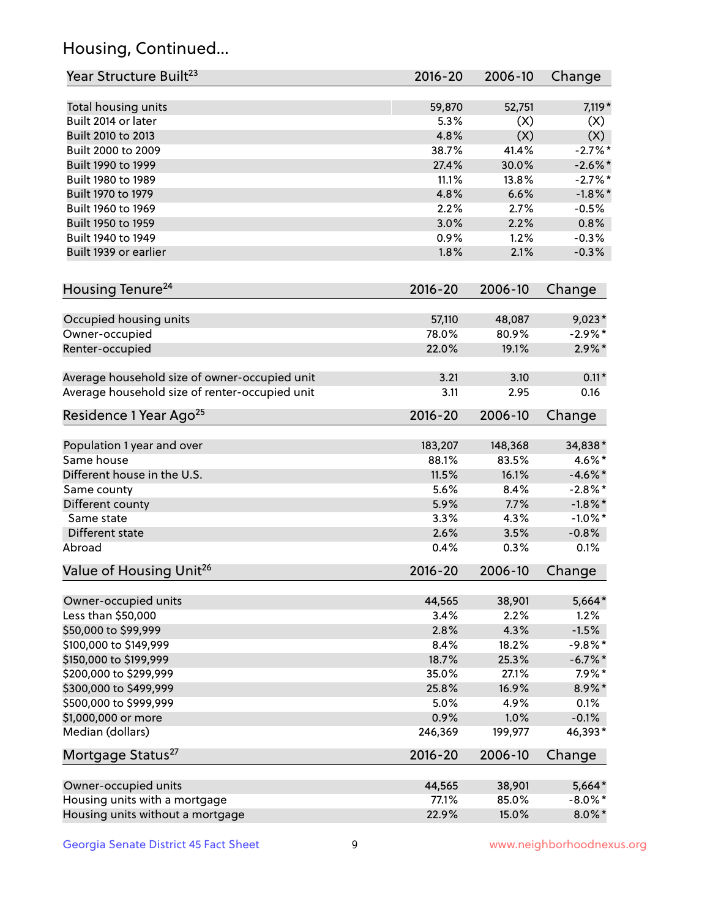## Housing, Continued...

| Year Structure Built <sup>23</sup>             | 2016-20     | 2006-10 | Change     |
|------------------------------------------------|-------------|---------|------------|
| Total housing units                            | 59,870      | 52,751  | 7,119*     |
| Built 2014 or later                            | 5.3%        | (X)     | (X)        |
| Built 2010 to 2013                             | 4.8%        | (X)     | (X)        |
| Built 2000 to 2009                             | 38.7%       | 41.4%   | $-2.7%$ *  |
| Built 1990 to 1999                             | 27.4%       | 30.0%   | $-2.6\%$ * |
| Built 1980 to 1989                             | 11.1%       | 13.8%   | $-2.7%$ *  |
| Built 1970 to 1979                             | 4.8%        | 6.6%    | $-1.8\%$ * |
| Built 1960 to 1969                             | 2.2%        | 2.7%    | $-0.5%$    |
| Built 1950 to 1959                             | 3.0%        | 2.2%    | 0.8%       |
| Built 1940 to 1949                             | 0.9%        | 1.2%    | $-0.3%$    |
| Built 1939 or earlier                          | 1.8%        | 2.1%    | $-0.3%$    |
| Housing Tenure <sup>24</sup>                   | $2016 - 20$ | 2006-10 | Change     |
| Occupied housing units                         | 57,110      | 48,087  | $9,023*$   |
| Owner-occupied                                 | 78.0%       | 80.9%   | $-2.9\%$ * |
| Renter-occupied                                | 22.0%       | 19.1%   | $2.9\%*$   |
| Average household size of owner-occupied unit  | 3.21        | 3.10    | $0.11*$    |
| Average household size of renter-occupied unit | 3.11        | 2.95    | 0.16       |
| Residence 1 Year Ago <sup>25</sup>             | 2016-20     | 2006-10 | Change     |
| Population 1 year and over                     | 183,207     | 148,368 | 34,838*    |
| Same house                                     | 88.1%       | 83.5%   | 4.6%*      |
| Different house in the U.S.                    | 11.5%       | 16.1%   | $-4.6\%$ * |
| Same county                                    | 5.6%        | 8.4%    | $-2.8\%$ * |
| Different county                               | 5.9%        | 7.7%    | $-1.8\%$ * |
| Same state                                     | 3.3%        | 4.3%    | $-1.0\%$ * |
| Different state                                | 2.6%        | 3.5%    | $-0.8%$    |
| Abroad                                         | 0.4%        | 0.3%    | 0.1%       |
| Value of Housing Unit <sup>26</sup>            | $2016 - 20$ | 2006-10 | Change     |
| Owner-occupied units                           | 44,565      | 38,901  | 5,664*     |
| Less than \$50,000                             | 3.4%        | 2.2%    | 1.2%       |
| \$50,000 to \$99,999                           | 2.8%        | 4.3%    | $-1.5%$    |
| \$100,000 to \$149,999                         | 8.4%        | 18.2%   | $-9.8\%$ * |
| \$150,000 to \$199,999                         | 18.7%       | 25.3%   | $-6.7\%$ * |
| \$200,000 to \$299,999                         | 35.0%       | 27.1%   | $7.9\%*$   |
| \$300,000 to \$499,999                         | 25.8%       | 16.9%   | 8.9%*      |
| \$500,000 to \$999,999                         | 5.0%        | 4.9%    | 0.1%       |
| \$1,000,000 or more                            | 0.9%        | 1.0%    | $-0.1%$    |
| Median (dollars)                               | 246,369     | 199,977 | 46,393*    |
| Mortgage Status <sup>27</sup>                  | $2016 - 20$ | 2006-10 | Change     |
| Owner-occupied units                           | 44,565      | 38,901  | 5,664*     |
| Housing units with a mortgage                  | 77.1%       | 85.0%   | $-8.0\%$ * |
| Housing units without a mortgage               | 22.9%       | 15.0%   | $8.0\%$ *  |
|                                                |             |         |            |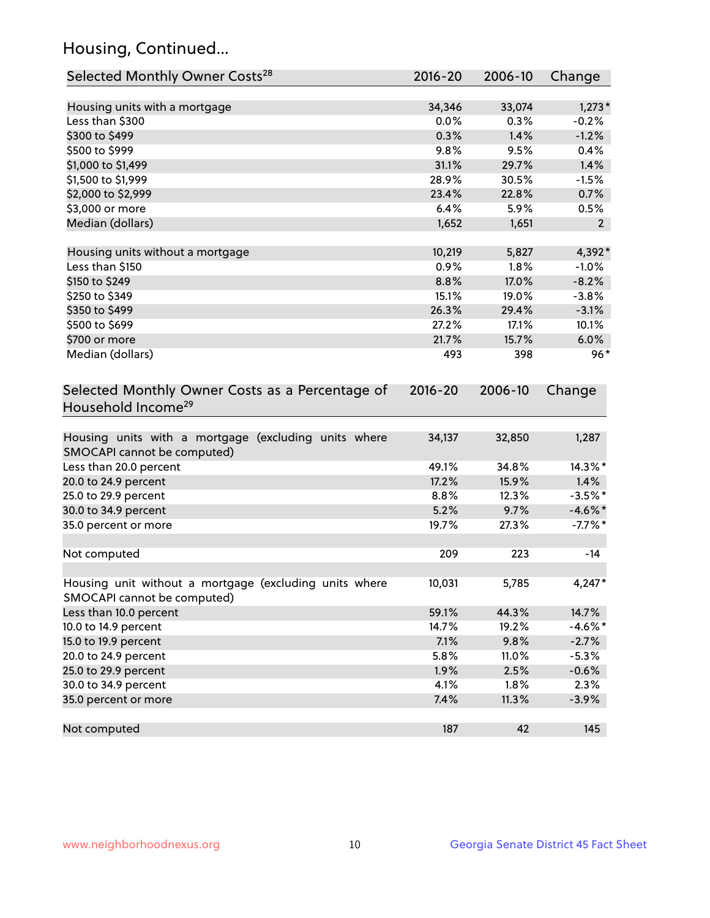## Housing, Continued...

| Selected Monthly Owner Costs <sup>28</sup>                                             | 2016-20 | 2006-10 | Change         |
|----------------------------------------------------------------------------------------|---------|---------|----------------|
| Housing units with a mortgage                                                          | 34,346  | 33,074  | $1,273*$       |
| Less than \$300                                                                        | 0.0%    | 0.3%    | $-0.2%$        |
| \$300 to \$499                                                                         | 0.3%    | 1.4%    | $-1.2%$        |
| \$500 to \$999                                                                         | 9.8%    | 9.5%    | 0.4%           |
| \$1,000 to \$1,499                                                                     | 31.1%   | 29.7%   | 1.4%           |
| \$1,500 to \$1,999                                                                     | 28.9%   | 30.5%   | $-1.5%$        |
| \$2,000 to \$2,999                                                                     | 23.4%   | 22.8%   | 0.7%           |
| \$3,000 or more                                                                        | 6.4%    | 5.9%    | 0.5%           |
| Median (dollars)                                                                       | 1,652   | 1,651   | $\overline{2}$ |
| Housing units without a mortgage                                                       | 10,219  | 5,827   | 4,392*         |
| Less than \$150                                                                        | 0.9%    | 1.8%    | $-1.0%$        |
| \$150 to \$249                                                                         | 8.8%    | 17.0%   | $-8.2%$        |
| \$250 to \$349                                                                         | 15.1%   | 19.0%   | $-3.8%$        |
| \$350 to \$499                                                                         | 26.3%   | 29.4%   | $-3.1%$        |
| \$500 to \$699                                                                         | 27.2%   | 17.1%   | 10.1%          |
| \$700 or more                                                                          | 21.7%   | 15.7%   | 6.0%           |
| Median (dollars)                                                                       | 493     | 398     | $96*$          |
| Household Income <sup>29</sup><br>Housing units with a mortgage (excluding units where | 34,137  | 32,850  |                |
| SMOCAPI cannot be computed)                                                            |         |         | 1,287          |
| Less than 20.0 percent                                                                 | 49.1%   | 34.8%   | 14.3%*         |
| 20.0 to 24.9 percent                                                                   | 17.2%   | 15.9%   | 1.4%           |
| 25.0 to 29.9 percent                                                                   | 8.8%    | 12.3%   | $-3.5%$ *      |
| 30.0 to 34.9 percent                                                                   | 5.2%    | 9.7%    | $-4.6\%$ *     |
| 35.0 percent or more                                                                   | 19.7%   | 27.3%   | $-7.7\%$ *     |
| Not computed                                                                           | 209     | 223     | $-14$          |
| Housing unit without a mortgage (excluding units where<br>SMOCAPI cannot be computed)  | 10,031  | 5,785   | 4,247*         |
| Less than 10.0 percent                                                                 | 59.1%   | 44.3%   | 14.7%          |
| 10.0 to 14.9 percent                                                                   | 14.7%   | 19.2%   | $-4.6\%$ *     |
| 15.0 to 19.9 percent                                                                   | 7.1%    | 9.8%    | $-2.7%$        |
| 20.0 to 24.9 percent                                                                   | 5.8%    | 11.0%   | $-5.3%$        |
| 25.0 to 29.9 percent                                                                   | 1.9%    | 2.5%    | $-0.6%$        |
| 30.0 to 34.9 percent                                                                   | 4.1%    | 1.8%    | 2.3%           |
| 35.0 percent or more                                                                   | 7.4%    | 11.3%   | $-3.9%$        |
| Not computed                                                                           | 187     | 42      | 145            |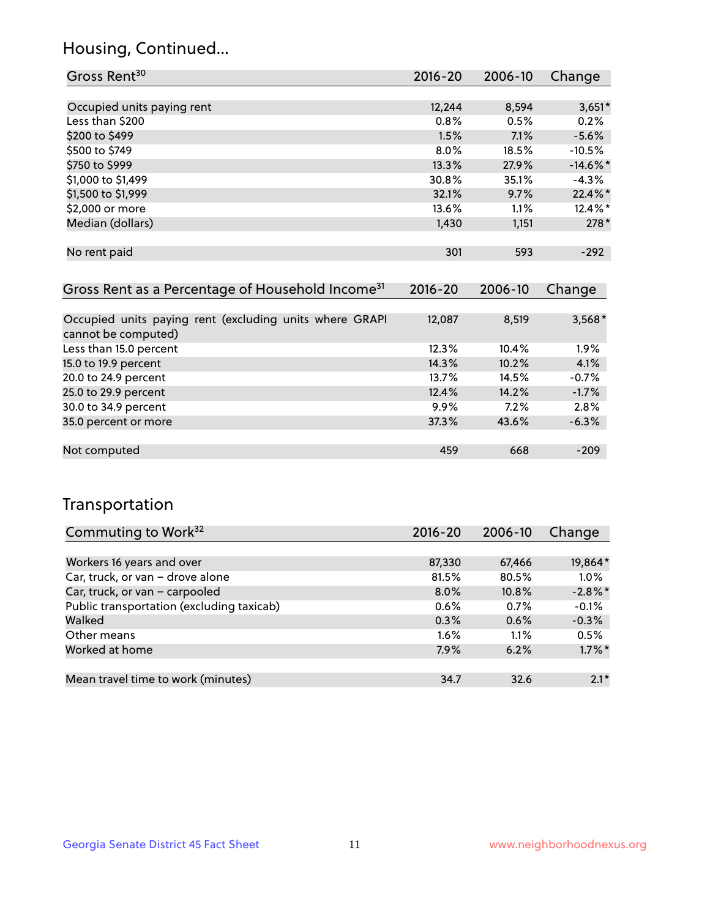### Housing, Continued...

| Gross Rent <sup>30</sup>   | 2016-20 | 2006-10 | Change      |
|----------------------------|---------|---------|-------------|
|                            |         |         |             |
| Occupied units paying rent | 12,244  | 8,594   | $3,651*$    |
| Less than \$200            | 0.8%    | 0.5%    | 0.2%        |
| \$200 to \$499             | 1.5%    | 7.1%    | $-5.6%$     |
| \$500 to \$749             | $8.0\%$ | 18.5%   | $-10.5%$    |
| \$750 to \$999             | 13.3%   | 27.9%   | $-14.6\%$ * |
| \$1,000 to \$1,499         | 30.8%   | 35.1%   | $-4.3%$     |
| \$1,500 to \$1,999         | 32.1%   | 9.7%    | 22.4%*      |
| \$2,000 or more            | 13.6%   | 1.1%    | $12.4\%$ *  |
| Median (dollars)           | 1,430   | 1,151   | $278*$      |
|                            |         |         |             |
| No rent paid               | 301     | 593     | $-292$      |
|                            |         |         |             |
|                            |         |         |             |

| Gross Rent as a Percentage of Household Income <sup>31</sup>                   | $2016 - 20$ | 2006-10 | Change   |
|--------------------------------------------------------------------------------|-------------|---------|----------|
|                                                                                |             |         |          |
| Occupied units paying rent (excluding units where GRAPI<br>cannot be computed) | 12,087      | 8,519   | $3,568*$ |
| Less than 15.0 percent                                                         | 12.3%       | 10.4%   | $1.9\%$  |
| 15.0 to 19.9 percent                                                           | 14.3%       | 10.2%   | 4.1%     |
| 20.0 to 24.9 percent                                                           | 13.7%       | 14.5%   | $-0.7%$  |
| 25.0 to 29.9 percent                                                           | 12.4%       | 14.2%   | $-1.7%$  |
| 30.0 to 34.9 percent                                                           | 9.9%        | 7.2%    | 2.8%     |
| 35.0 percent or more                                                           | 37.3%       | 43.6%   | $-6.3%$  |
|                                                                                |             |         |          |
| Not computed                                                                   | 459         | 668     | $-209$   |

## Transportation

| Commuting to Work <sup>32</sup>           | 2016-20 | 2006-10 | Change     |
|-------------------------------------------|---------|---------|------------|
|                                           |         |         |            |
| Workers 16 years and over                 | 87,330  | 67,466  | 19,864*    |
| Car, truck, or van - drove alone          | 81.5%   | 80.5%   | 1.0%       |
| Car, truck, or van - carpooled            | $8.0\%$ | 10.8%   | $-2.8\%$ * |
| Public transportation (excluding taxicab) | $0.6\%$ | 0.7%    | $-0.1%$    |
| Walked                                    | 0.3%    | 0.6%    | $-0.3%$    |
| Other means                               | $1.6\%$ | 1.1%    | 0.5%       |
| Worked at home                            | 7.9%    | 6.2%    | $1.7\%$ *  |
|                                           |         |         |            |
| Mean travel time to work (minutes)        | 34.7    | 32.6    | $2.1*$     |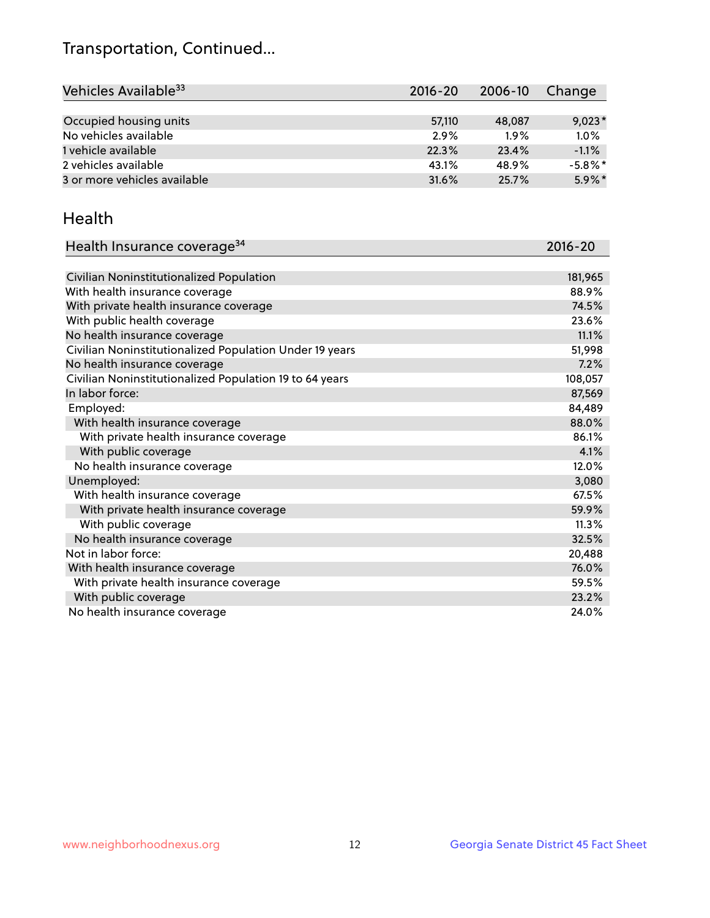## Transportation, Continued...

| Vehicles Available <sup>33</sup> | $2016 - 20$ | 2006-10 | Change     |
|----------------------------------|-------------|---------|------------|
|                                  |             |         |            |
| Occupied housing units           | 57,110      | 48,087  | $9,023*$   |
| No vehicles available            | 2.9%        | 1.9%    | 1.0%       |
| 1 vehicle available              | 22.3%       | 23.4%   | $-1.1%$    |
| 2 vehicles available             | 43.1%       | 48.9%   | $-5.8\%$ * |
| 3 or more vehicles available     | 31.6%       | 25.7%   | $5.9\%$ *  |

#### Health

| Health Insurance coverage <sup>34</sup>                 | 2016-20 |
|---------------------------------------------------------|---------|
|                                                         |         |
| Civilian Noninstitutionalized Population                | 181,965 |
| With health insurance coverage                          | 88.9%   |
| With private health insurance coverage                  | 74.5%   |
| With public health coverage                             | 23.6%   |
| No health insurance coverage                            | 11.1%   |
| Civilian Noninstitutionalized Population Under 19 years | 51,998  |
| No health insurance coverage                            | 7.2%    |
| Civilian Noninstitutionalized Population 19 to 64 years | 108,057 |
| In labor force:                                         | 87,569  |
| Employed:                                               | 84,489  |
| With health insurance coverage                          | 88.0%   |
| With private health insurance coverage                  | 86.1%   |
| With public coverage                                    | 4.1%    |
| No health insurance coverage                            | 12.0%   |
| Unemployed:                                             | 3,080   |
| With health insurance coverage                          | 67.5%   |
| With private health insurance coverage                  | 59.9%   |
| With public coverage                                    | 11.3%   |
| No health insurance coverage                            | 32.5%   |
| Not in labor force:                                     | 20,488  |
| With health insurance coverage                          | 76.0%   |
| With private health insurance coverage                  | 59.5%   |
| With public coverage                                    | 23.2%   |
| No health insurance coverage                            | 24.0%   |